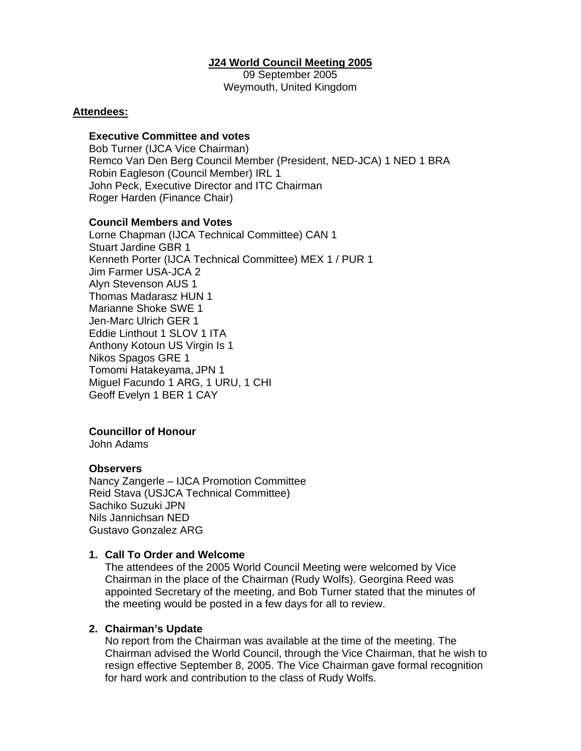### **J24 World Council Meeting 2005**

09 September 2005 Weymouth, United Kingdom

#### **Attendees:**

### **Executive Committee and votes**

Bob Turner (IJCA Vice Chairman) Remco Van Den Berg Council Member (President, NED-JCA) 1 NED 1 BRA Robin Eagleson (Council Member) IRL 1 John Peck, Executive Director and ITC Chairman Roger Harden (Finance Chair)

### **Council Members and Votes**

Lorne Chapman (IJCA Technical Committee) CAN 1 Stuart Jardine GBR 1 Kenneth Porter (IJCA Technical Committee) MEX 1 / PUR 1 Jim Farmer USA-JCA 2 Alyn Stevenson AUS 1 Thomas Madarasz HUN 1 Marianne Shoke SWE 1 Jen-Marc Ulrich GER 1 Eddie Linthout 1 SLOV 1 ITA Anthony Kotoun US Virgin Is 1 Nikos Spagos GRE 1 Tomomi Hatakeyama, JPN 1 Miguel Facundo 1 ARG, 1 URU, 1 CHI Geoff Evelyn 1 BER 1 CAY

### **Councillor of Honour**

John Adams

#### **Observers**

Nancy Zangerle – IJCA Promotion Committee Reid Stava (USJCA Technical Committee) Sachiko Suzuki JPN Nils Jannichsan NED Gustavo Gonzalez ARG

#### **1. Call To Order and Welcome**

The attendees of the 2005 World Council Meeting were welcomed by Vice Chairman in the place of the Chairman (Rudy Wolfs). Georgina Reed was appointed Secretary of the meeting, and Bob Turner stated that the minutes of the meeting would be posted in a few days for all to review.

#### **2. Chairman's Update**

No report from the Chairman was available at the time of the meeting. The Chairman advised the World Council, through the Vice Chairman, that he wish to resign effective September 8, 2005. The Vice Chairman gave formal recognition for hard work and contribution to the class of Rudy Wolfs.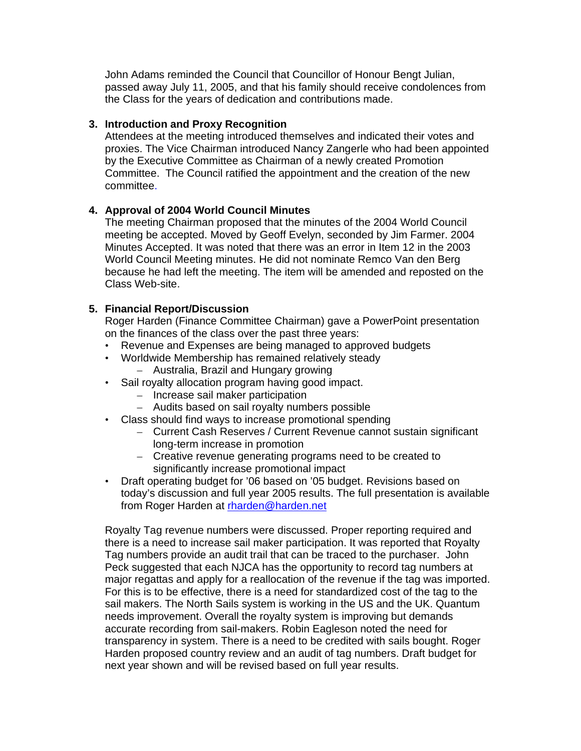John Adams reminded the Council that Councillor of Honour Bengt Julian, passed away July 11, 2005, and that his family should receive condolences from the Class for the years of dedication and contributions made.

### **3. Introduction and Proxy Recognition**

Attendees at the meeting introduced themselves and indicated their votes and proxies. The Vice Chairman introduced Nancy Zangerle who had been appointed by the Executive Committee as Chairman of a newly created Promotion Committee. The Council ratified the appointment and the creation of the new committee.

### **4. Approval of 2004 World Council Minutes**

The meeting Chairman proposed that the minutes of the 2004 World Council meeting be accepted. Moved by Geoff Evelyn, seconded by Jim Farmer. 2004 Minutes Accepted. It was noted that there was an error in Item 12 in the 2003 World Council Meeting minutes. He did not nominate Remco Van den Berg because he had left the meeting. The item will be amended and reposted on the Class Web-site.

### **5. Financial Report/Discussion**

Roger Harden (Finance Committee Chairman) gave a PowerPoint presentation on the finances of the class over the past three years:

- Revenue and Expenses are being managed to approved budgets
- Worldwide Membership has remained relatively steady
	- Australia, Brazil and Hungary growing
- Sail royalty allocation program having good impact.
	- Increase sail maker participation
	- Audits based on sail royalty numbers possible
- Class should find ways to increase promotional spending
	- Current Cash Reserves / Current Revenue cannot sustain significant long-term increase in promotion
	- Creative revenue generating programs need to be created to significantly increase promotional impact
- Draft operating budget for '06 based on '05 budget. Revisions based on today's discussion and full year 2005 results. The full presentation is available from Roger Harden at rharden@harden.net

Royalty Tag revenue numbers were discussed. Proper reporting required and there is a need to increase sail maker participation. It was reported that Royalty Tag numbers provide an audit trail that can be traced to the purchaser. John Peck suggested that each NJCA has the opportunity to record tag numbers at major regattas and apply for a reallocation of the revenue if the tag was imported. For this is to be effective, there is a need for standardized cost of the tag to the sail makers. The North Sails system is working in the US and the UK. Quantum needs improvement. Overall the royalty system is improving but demands accurate recording from sail-makers. Robin Eagleson noted the need for transparency in system. There is a need to be credited with sails bought. Roger Harden proposed country review and an audit of tag numbers. Draft budget for next year shown and will be revised based on full year results.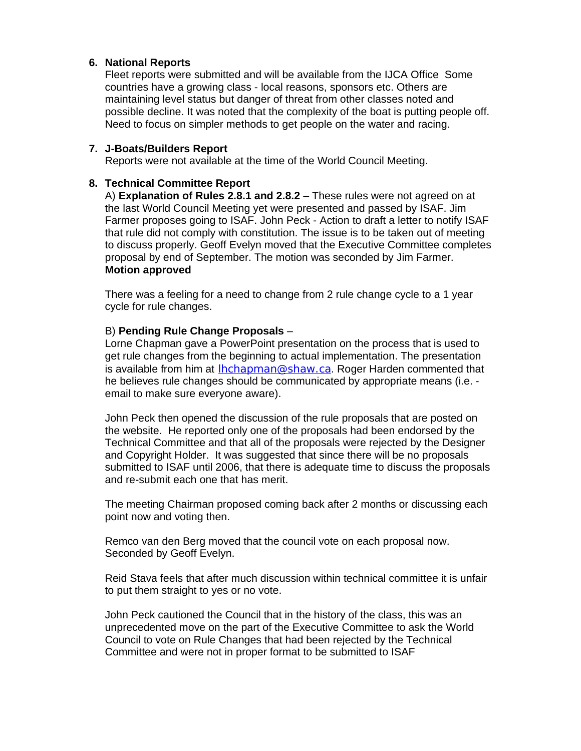### **6. National Reports**

Fleet reports were submitted and will be available from the IJCA Office Some countries have a growing class - local reasons, sponsors etc. Others are maintaining level status but danger of threat from other classes noted and possible decline. It was noted that the complexity of the boat is putting people off. Need to focus on simpler methods to get people on the water and racing.

### **7. J-Boats/Builders Report**

Reports were not available at the time of the World Council Meeting.

### **8. Technical Committee Report**

A) **Explanation of Rules 2.8.1 and 2.8.2** – These rules were not agreed on at the last World Council Meeting yet were presented and passed by ISAF. Jim Farmer proposes going to ISAF. John Peck - Action to draft a letter to notify ISAF that rule did not comply with constitution. The issue is to be taken out of meeting to discuss properly. Geoff Evelyn moved that the Executive Committee completes proposal by end of September. The motion was seconded by Jim Farmer. **Motion approved**

There was a feeling for a need to change from 2 rule change cycle to a 1 year cycle for rule changes.

### B) **Pending Rule Change Proposals** –

Lorne Chapman gave a PowerPoint presentation on the process that is used to get rule changes from the beginning to actual implementation. The presentation is available from him at lhchapman@shaw.ca. Roger Harden commented that he believes rule changes should be communicated by appropriate means (i.e. email to make sure everyone aware).

John Peck then opened the discussion of the rule proposals that are posted on the website. He reported only one of the proposals had been endorsed by the Technical Committee and that all of the proposals were rejected by the Designer and Copyright Holder. It was suggested that since there will be no proposals submitted to ISAF until 2006, that there is adequate time to discuss the proposals and re-submit each one that has merit.

The meeting Chairman proposed coming back after 2 months or discussing each point now and voting then.

Remco van den Berg moved that the council vote on each proposal now. Seconded by Geoff Evelyn.

Reid Stava feels that after much discussion within technical committee it is unfair to put them straight to yes or no vote.

John Peck cautioned the Council that in the history of the class, this was an unprecedented move on the part of the Executive Committee to ask the World Council to vote on Rule Changes that had been rejected by the Technical Committee and were not in proper format to be submitted to ISAF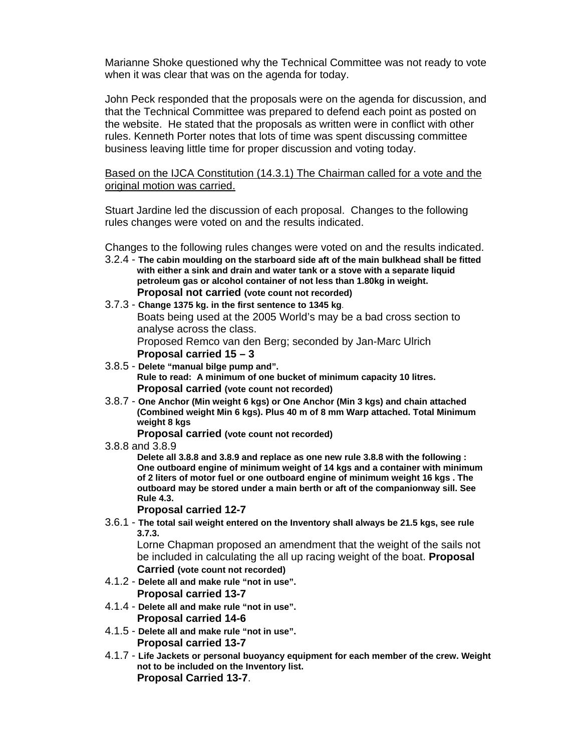Marianne Shoke questioned why the Technical Committee was not ready to vote when it was clear that was on the agenda for today.

John Peck responded that the proposals were on the agenda for discussion, and that the Technical Committee was prepared to defend each point as posted on the website. He stated that the proposals as written were in conflict with other rules. Kenneth Porter notes that lots of time was spent discussing committee business leaving little time for proper discussion and voting today.

Based on the IJCA Constitution (14.3.1) The Chairman called for a vote and the original motion was carried.

Stuart Jardine led the discussion of each proposal. Changes to the following rules changes were voted on and the results indicated.

Changes to the following rules changes were voted on and the results indicated.

- 3.2.4 **The cabin moulding on the starboard side aft of the main bulkhead shall be fitted with either a sink and drain and water tank or a stove with a separate liquid petroleum gas or alcohol container of not less than 1.80kg in weight. Proposal not carried (vote count not recorded)**
- 3.7.3 **Change 1375 kg. in the first sentence to 1345 kg**. Boats being used at the 2005 World's may be a bad cross section to analyse across the class. Proposed Remco van den Berg; seconded by Jan-Marc Ulrich **Proposal carried 15 – 3**
- 3.8.5 **Delete "manual bilge pump and". Rule to read: A minimum of one bucket of minimum capacity 10 litres. Proposal carried (vote count not recorded)**
- 3.8.7 **One Anchor (Min weight 6 kgs) or One Anchor (Min 3 kgs) and chain attached (Combined weight Min 6 kgs). Plus 40 m of 8 mm Warp attached. Total Minimum weight 8 kgs**

**Proposal carried (vote count not recorded)**

3.8.8 and 3.8.9

**Delete all 3.8.8 and 3.8.9 and replace as one new rule 3.8.8 with the following : One outboard engine of minimum weight of 14 kgs and a container with minimum of 2 liters of motor fuel or one outboard engine of minimum weight 16 kgs . The outboard may be stored under a main berth or aft of the companionway sill. See Rule 4.3.** 

#### **Proposal carried 12-7**

3.6.1 - **The total sail weight entered on the Inventory shall always be 21.5 kgs, see rule 3.7.3.**

Lorne Chapman proposed an amendment that the weight of the sails not be included in calculating the all up racing weight of the boat. **Proposal Carried (vote count not recorded)** 

- 4.1.2 **Delete all and make rule "not in use". Proposal carried 13-7**
- 4.1.4 **Delete all and make rule "not in use". Proposal carried 14-6**
- 4.1.5 **Delete all and make rule "not in use". Proposal carried 13-7**
- 4.1.7 **Life Jackets or personal buoyancy equipment for each member of the crew. Weight not to be included on the Inventory list. Proposal Carried 13-7**.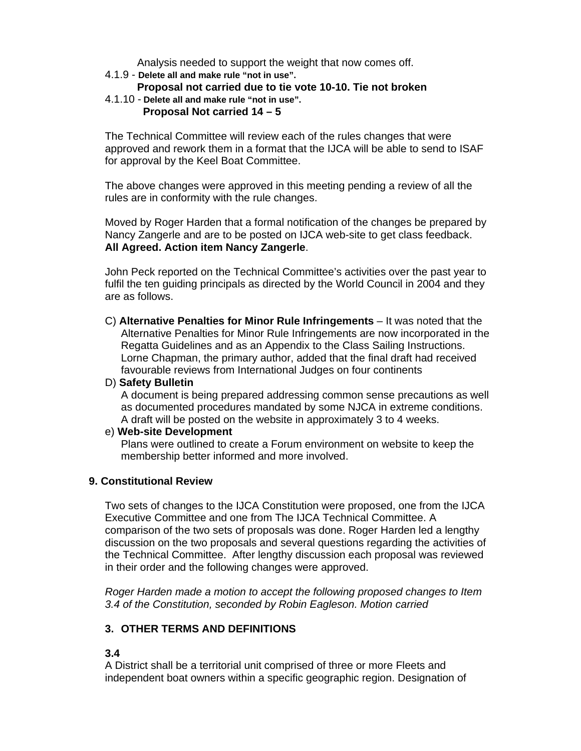Analysis needed to support the weight that now comes off.

### 4.1.9 - **Delete all and make rule "not in use".**

### **Proposal not carried due to tie vote 10-10. Tie not broken**

#### 4.1.10 - **Delete all and make rule "not in use". Proposal Not carried 14 – 5**

The Technical Committee will review each of the rules changes that were approved and rework them in a format that the IJCA will be able to send to ISAF for approval by the Keel Boat Committee.

The above changes were approved in this meeting pending a review of all the rules are in conformity with the rule changes.

Moved by Roger Harden that a formal notification of the changes be prepared by Nancy Zangerle and are to be posted on IJCA web-site to get class feedback. **All Agreed. Action item Nancy Zangerle**.

John Peck reported on the Technical Committee's activities over the past year to fulfil the ten guiding principals as directed by the World Council in 2004 and they are as follows.

C) **Alternative Penalties for Minor Rule Infringements** – It was noted that the Alternative Penalties for Minor Rule Infringements are now incorporated in the Regatta Guidelines and as an Appendix to the Class Sailing Instructions. Lorne Chapman, the primary author, added that the final draft had received favourable reviews from International Judges on four continents

### D) **Safety Bulletin**

A document is being prepared addressing common sense precautions as well as documented procedures mandated by some NJCA in extreme conditions. A draft will be posted on the website in approximately 3 to 4 weeks.

#### e) **Web-site Development**

Plans were outlined to create a Forum environment on website to keep the membership better informed and more involved.

### **9. Constitutional Review**

Two sets of changes to the IJCA Constitution were proposed, one from the IJCA Executive Committee and one from The IJCA Technical Committee. A comparison of the two sets of proposals was done. Roger Harden led a lengthy discussion on the two proposals and several questions regarding the activities of the Technical Committee. After lengthy discussion each proposal was reviewed in their order and the following changes were approved.

*Roger Harden made a motion to accept the following proposed changes to Item 3.4 of the Constitution, seconded by Robin Eagleson. Motion carried* 

### **3. OTHER TERMS AND DEFINITIONS**

### **3.4**

A District shall be a territorial unit comprised of three or more Fleets and independent boat owners within a specific geographic region. Designation of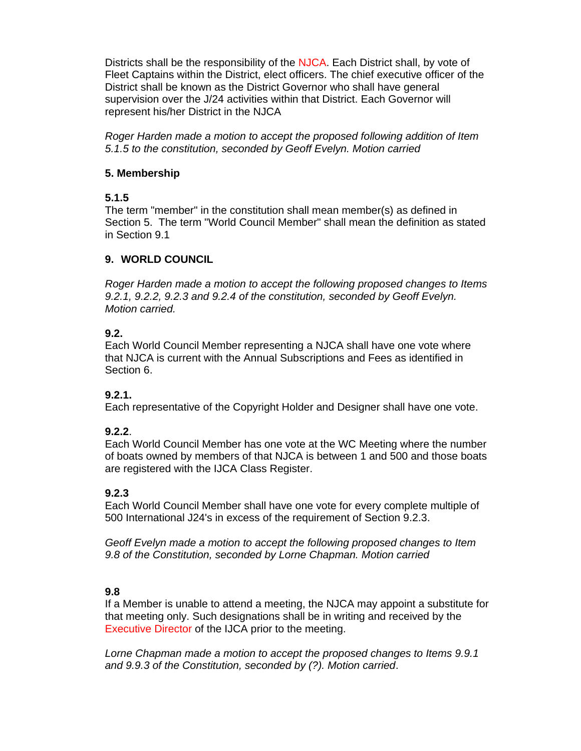Districts shall be the responsibility of the NJCA. Each District shall, by vote of Fleet Captains within the District, elect officers. The chief executive officer of the District shall be known as the District Governor who shall have general supervision over the J/24 activities within that District. Each Governor will represent his/her District in the NJCA

*Roger Harden made a motion to accept the proposed following addition of Item 5.1.5 to the constitution, seconded by Geoff Evelyn. Motion carried* 

## **5. Membership**

# **5.1.5**

The term "member" in the constitution shall mean member(s) as defined in Section 5. The term "World Council Member" shall mean the definition as stated in Section 9.1

# **9. WORLD COUNCIL**

*Roger Harden made a motion to accept the following proposed changes to Items 9.2.1, 9.2.2, 9.2.3 and 9.2.4 of the constitution, seconded by Geoff Evelyn. Motion carried.* 

# **9.2.**

Each World Council Member representing a NJCA shall have one vote where that NJCA is current with the Annual Subscriptions and Fees as identified in Section 6.

# **9.2.1.**

Each representative of the Copyright Holder and Designer shall have one vote.

# **9.2.2**.

Each World Council Member has one vote at the WC Meeting where the number of boats owned by members of that NJCA is between 1 and 500 and those boats are registered with the IJCA Class Register.

# **9.2.3**

Each World Council Member shall have one vote for every complete multiple of 500 International J24's in excess of the requirement of Section 9.2.3.

*Geoff Evelyn made a motion to accept the following proposed changes to Item 9.8 of the Constitution, seconded by Lorne Chapman. Motion carried* 

# **9.8**

If a Member is unable to attend a meeting, the NJCA may appoint a substitute for that meeting only. Such designations shall be in writing and received by the Executive Director of the IJCA prior to the meeting.

*Lorne Chapman made a motion to accept the proposed changes to Items 9.9.1 and 9.9.3 of the Constitution, seconded by (?). Motion carried*.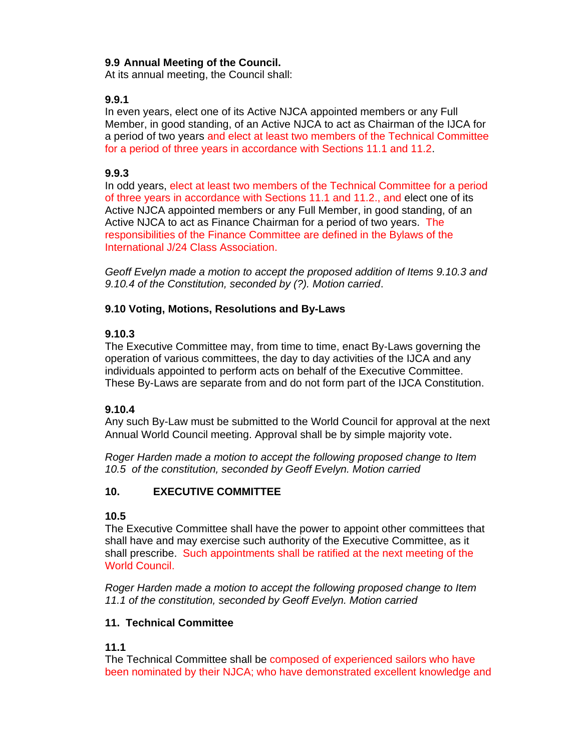# **9.9 Annual Meeting of the Council.**

At its annual meeting, the Council shall:

# **9.9.1**

In even years, elect one of its Active NJCA appointed members or any Full Member, in good standing, of an Active NJCA to act as Chairman of the IJCA for a period of two years and elect at least two members of the Technical Committee for a period of three years in accordance with Sections 11.1 and 11.2.

# **9.9.3**

In odd years, elect at least two members of the Technical Committee for a period of three years in accordance with Sections 11.1 and 11.2., and elect one of its Active NJCA appointed members or any Full Member, in good standing, of an Active NJCA to act as Finance Chairman for a period of two years. The responsibilities of the Finance Committee are defined in the Bylaws of the International J/24 Class Association.

*Geoff Evelyn made a motion to accept the proposed addition of Items 9.10.3 and 9.10.4 of the Constitution, seconded by (?). Motion carried*.

# **9.10 Voting, Motions, Resolutions and By-Laws**

## **9.10.3**

The Executive Committee may, from time to time, enact By-Laws governing the operation of various committees, the day to day activities of the IJCA and any individuals appointed to perform acts on behalf of the Executive Committee. These By-Laws are separate from and do not form part of the IJCA Constitution.

# **9.10.4**

Any such By-Law must be submitted to the World Council for approval at the next Annual World Council meeting. Approval shall be by simple majority vote.

*Roger Harden made a motion to accept the following proposed change to Item 10.5 of the constitution, seconded by Geoff Evelyn. Motion carried* 

# **10. EXECUTIVE COMMITTEE**

### **10.5**

The Executive Committee shall have the power to appoint other committees that shall have and may exercise such authority of the Executive Committee, as it shall prescribe. Such appointments shall be ratified at the next meeting of the World Council.

*Roger Harden made a motion to accept the following proposed change to Item 11.1 of the constitution, seconded by Geoff Evelyn. Motion carried* 

### **11. Technical Committee**

### **11.1**

The Technical Committee shall be composed of experienced sailors who have been nominated by their NJCA; who have demonstrated excellent knowledge and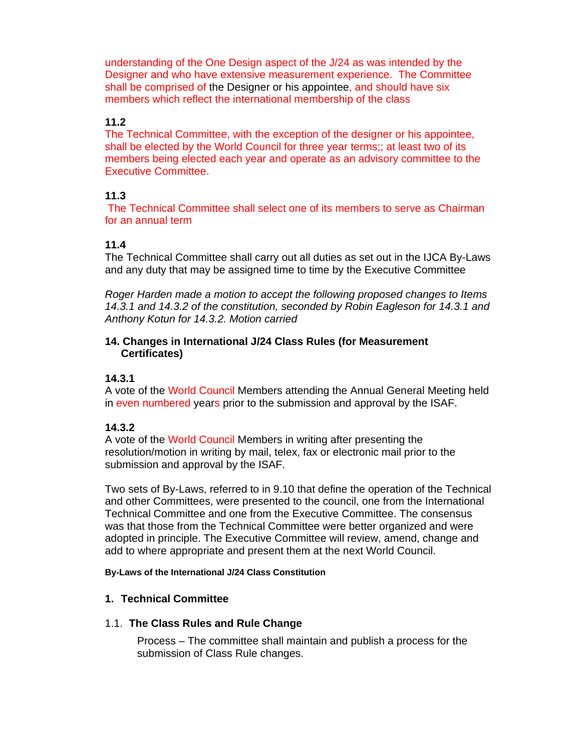understanding of the One Design aspect of the J/24 as was intended by the Designer and who have extensive measurement experience. The Committee shall be comprised of the Designer or his appointee, and should have six members which reflect the international membership of the class

### **11.2**

The Technical Committee, with the exception of the designer or his appointee, shall be elected by the World Council for three year terms;; at least two of its members being elected each year and operate as an advisory committee to the Executive Committee.

## **11.3**

The Technical Committee shall select one of its members to serve as Chairman for an annual term

## **11.4**

The Technical Committee shall carry out all duties as set out in the IJCA By-Laws and any duty that may be assigned time to time by the Executive Committee

*Roger Harden made a motion to accept the following proposed changes to Items 14.3.1 and 14.3.2 of the constitution, seconded by Robin Eagleson for 14.3.1 and Anthony Kotun for 14.3.2. Motion carried*

### **14. Changes in International J/24 Class Rules (for Measurement Certificates)**

### **14.3.1**

A vote of the World Council Members attending the Annual General Meeting held in even numbered years prior to the submission and approval by the ISAF.

### **14.3.2**

A vote of the World Council Members in writing after presenting the resolution/motion in writing by mail, telex, fax or electronic mail prior to the submission and approval by the ISAF.

Two sets of By-Laws, referred to in 9.10 that define the operation of the Technical and other Committees, were presented to the council, one from the International Technical Committee and one from the Executive Committee. The consensus was that those from the Technical Committee were better organized and were adopted in principle. The Executive Committee will review, amend, change and add to where appropriate and present them at the next World Council.

#### **By-Laws of the International J/24 Class Constitution**

### **1. Technical Committee**

### 1.1. **The Class Rules and Rule Change**

Process – The committee shall maintain and publish a process for the submission of Class Rule changes.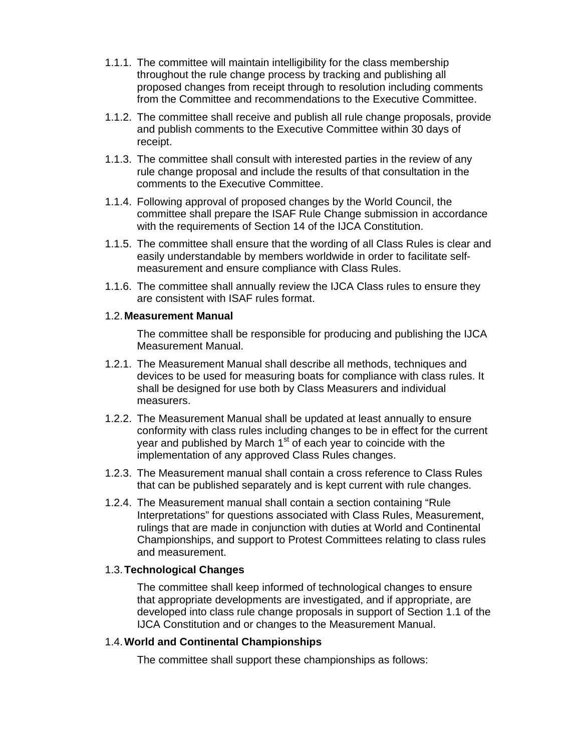- 1.1.1. The committee will maintain intelligibility for the class membership throughout the rule change process by tracking and publishing all proposed changes from receipt through to resolution including comments from the Committee and recommendations to the Executive Committee.
- 1.1.2. The committee shall receive and publish all rule change proposals, provide and publish comments to the Executive Committee within 30 days of receipt.
- 1.1.3. The committee shall consult with interested parties in the review of any rule change proposal and include the results of that consultation in the comments to the Executive Committee.
- 1.1.4. Following approval of proposed changes by the World Council, the committee shall prepare the ISAF Rule Change submission in accordance with the requirements of Section 14 of the IJCA Constitution.
- 1.1.5. The committee shall ensure that the wording of all Class Rules is clear and easily understandable by members worldwide in order to facilitate selfmeasurement and ensure compliance with Class Rules.
- 1.1.6. The committee shall annually review the IJCA Class rules to ensure they are consistent with ISAF rules format.

### 1.2. **Measurement Manual**

The committee shall be responsible for producing and publishing the IJCA Measurement Manual.

- 1.2.1. The Measurement Manual shall describe all methods, techniques and devices to be used for measuring boats for compliance with class rules. It shall be designed for use both by Class Measurers and individual measurers.
- 1.2.2. The Measurement Manual shall be updated at least annually to ensure conformity with class rules including changes to be in effect for the current year and published by March 1<sup>st</sup> of each year to coincide with the implementation of any approved Class Rules changes.
- 1.2.3. The Measurement manual shall contain a cross reference to Class Rules that can be published separately and is kept current with rule changes.
- 1.2.4. The Measurement manual shall contain a section containing "Rule Interpretations" for questions associated with Class Rules, Measurement, rulings that are made in conjunction with duties at World and Continental Championships, and support to Protest Committees relating to class rules and measurement.

### 1.3. **Technological Changes**

The committee shall keep informed of technological changes to ensure that appropriate developments are investigated, and if appropriate, are developed into class rule change proposals in support of Section 1.1 of the IJCA Constitution and or changes to the Measurement Manual.

### 1.4. **World and Continental Championships**

The committee shall support these championships as follows: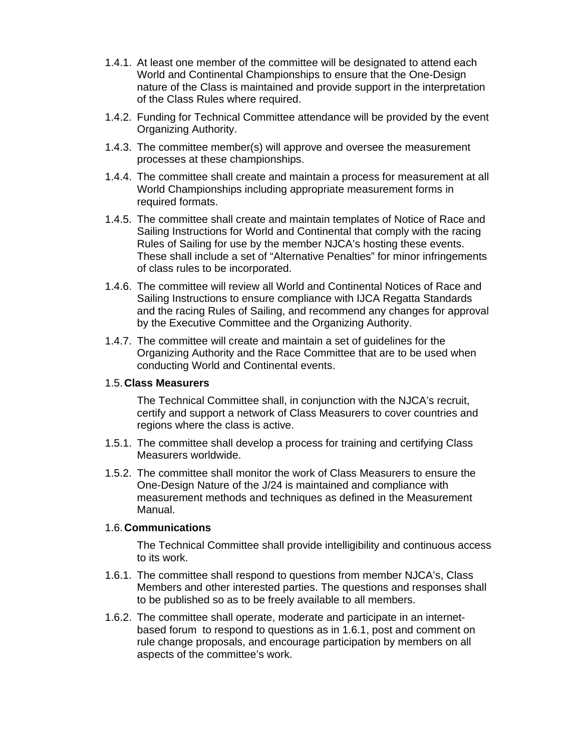- 1.4.1. At least one member of the committee will be designated to attend each World and Continental Championships to ensure that the One-Design nature of the Class is maintained and provide support in the interpretation of the Class Rules where required.
- 1.4.2. Funding for Technical Committee attendance will be provided by the event Organizing Authority.
- 1.4.3. The committee member(s) will approve and oversee the measurement processes at these championships.
- 1.4.4. The committee shall create and maintain a process for measurement at all World Championships including appropriate measurement forms in required formats.
- 1.4.5. The committee shall create and maintain templates of Notice of Race and Sailing Instructions for World and Continental that comply with the racing Rules of Sailing for use by the member NJCA's hosting these events. These shall include a set of "Alternative Penalties" for minor infringements of class rules to be incorporated.
- 1.4.6. The committee will review all World and Continental Notices of Race and Sailing Instructions to ensure compliance with IJCA Regatta Standards and the racing Rules of Sailing, and recommend any changes for approval by the Executive Committee and the Organizing Authority.
- 1.4.7. The committee will create and maintain a set of guidelines for the Organizing Authority and the Race Committee that are to be used when conducting World and Continental events.

### 1.5. **Class Measurers**

The Technical Committee shall, in conjunction with the NJCA's recruit, certify and support a network of Class Measurers to cover countries and regions where the class is active.

- 1.5.1. The committee shall develop a process for training and certifying Class Measurers worldwide.
- 1.5.2. The committee shall monitor the work of Class Measurers to ensure the One-Design Nature of the J/24 is maintained and compliance with measurement methods and techniques as defined in the Measurement Manual.

### 1.6. **Communications**

The Technical Committee shall provide intelligibility and continuous access to its work.

- 1.6.1. The committee shall respond to questions from member NJCA's, Class Members and other interested parties. The questions and responses shall to be published so as to be freely available to all members.
- 1.6.2. The committee shall operate, moderate and participate in an internetbased forum to respond to questions as in 1.6.1, post and comment on rule change proposals, and encourage participation by members on all aspects of the committee's work.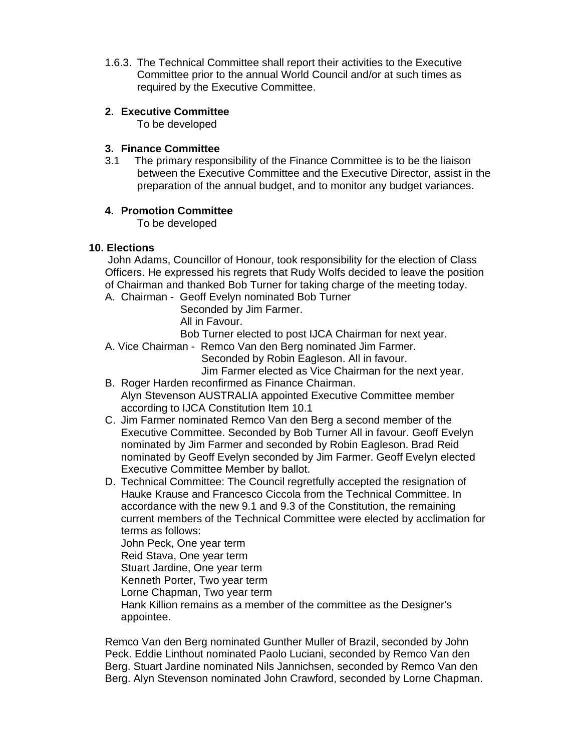1.6.3. The Technical Committee shall report their activities to the Executive Committee prior to the annual World Council and/or at such times as required by the Executive Committee.

### **2. Executive Committee**

To be developed

### **3. Finance Committee**

3.1 The primary responsibility of the Finance Committee is to be the liaison between the Executive Committee and the Executive Director, assist in the preparation of the annual budget, and to monitor any budget variances.

## **4. Promotion Committee**

To be developed

## **10. Elections**

 John Adams, Councillor of Honour, took responsibility for the election of Class Officers. He expressed his regrets that Rudy Wolfs decided to leave the position of Chairman and thanked Bob Turner for taking charge of the meeting today.

- A. Chairman Geoff Evelyn nominated Bob Turner
	- Seconded by Jim Farmer. All in Favour.

Bob Turner elected to post IJCA Chairman for next year.

A. Vice Chairman - Remco Van den Berg nominated Jim Farmer.

Seconded by Robin Eagleson. All in favour.

Jim Farmer elected as Vice Chairman for the next year.

- B. Roger Harden reconfirmed as Finance Chairman. Alyn Stevenson AUSTRALIA appointed Executive Committee member according to IJCA Constitution Item 10.1
- C. Jim Farmer nominated Remco Van den Berg a second member of the Executive Committee. Seconded by Bob Turner All in favour. Geoff Evelyn nominated by Jim Farmer and seconded by Robin Eagleson. Brad Reid nominated by Geoff Evelyn seconded by Jim Farmer. Geoff Evelyn elected Executive Committee Member by ballot.
- D. Technical Committee: The Council regretfully accepted the resignation of Hauke Krause and Francesco Ciccola from the Technical Committee. In accordance with the new 9.1 and 9.3 of the Constitution, the remaining current members of the Technical Committee were elected by acclimation for terms as follows:

John Peck, One year term

Reid Stava, One year term

Stuart Jardine, One year term

Kenneth Porter, Two year term

Lorne Chapman, Two year term

 Hank Killion remains as a member of the committee as the Designer's appointee.

Remco Van den Berg nominated Gunther Muller of Brazil, seconded by John Peck. Eddie Linthout nominated Paolo Luciani, seconded by Remco Van den Berg. Stuart Jardine nominated Nils Jannichsen, seconded by Remco Van den Berg. Alyn Stevenson nominated John Crawford, seconded by Lorne Chapman.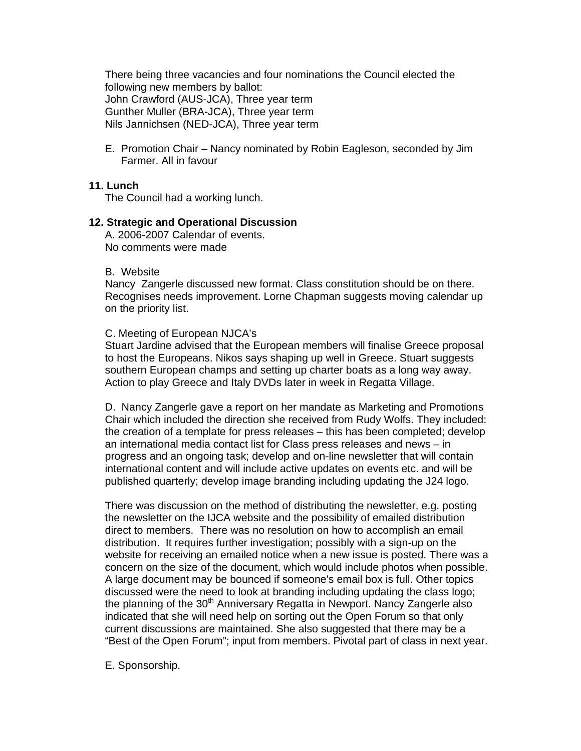There being three vacancies and four nominations the Council elected the following new members by ballot: John Crawford (AUS-JCA), Three year term Gunther Muller (BRA-JCA), Three year term Nils Jannichsen (NED-JCA), Three year term

E. Promotion Chair – Nancy nominated by Robin Eagleson, seconded by Jim Farmer. All in favour

### **11. Lunch**

The Council had a working lunch.

#### **12. Strategic and Operational Discussion**

A. 2006-2007 Calendar of events. No comments were made

B. Website

Nancy Zangerle discussed new format. Class constitution should be on there. Recognises needs improvement. Lorne Chapman suggests moving calendar up on the priority list.

#### C. Meeting of European NJCA's

Stuart Jardine advised that the European members will finalise Greece proposal to host the Europeans. Nikos says shaping up well in Greece. Stuart suggests southern European champs and setting up charter boats as a long way away. Action to play Greece and Italy DVDs later in week in Regatta Village.

D. Nancy Zangerle gave a report on her mandate as Marketing and Promotions Chair which included the direction she received from Rudy Wolfs. They included: the creation of a template for press releases – this has been completed; develop an international media contact list for Class press releases and news – in progress and an ongoing task; develop and on-line newsletter that will contain international content and will include active updates on events etc. and will be published quarterly; develop image branding including updating the J24 logo.

There was discussion on the method of distributing the newsletter, e.g. posting the newsletter on the IJCA website and the possibility of emailed distribution direct to members. There was no resolution on how to accomplish an email distribution. It requires further investigation; possibly with a sign-up on the website for receiving an emailed notice when a new issue is posted. There was a concern on the size of the document, which would include photos when possible. A large document may be bounced if someone's email box is full. Other topics discussed were the need to look at branding including updating the class logo; the planning of the 30<sup>th</sup> Anniversary Regatta in Newport. Nancy Zangerle also indicated that she will need help on sorting out the Open Forum so that only current discussions are maintained. She also suggested that there may be a "Best of the Open Forum"; input from members. Pivotal part of class in next year.

E. Sponsorship.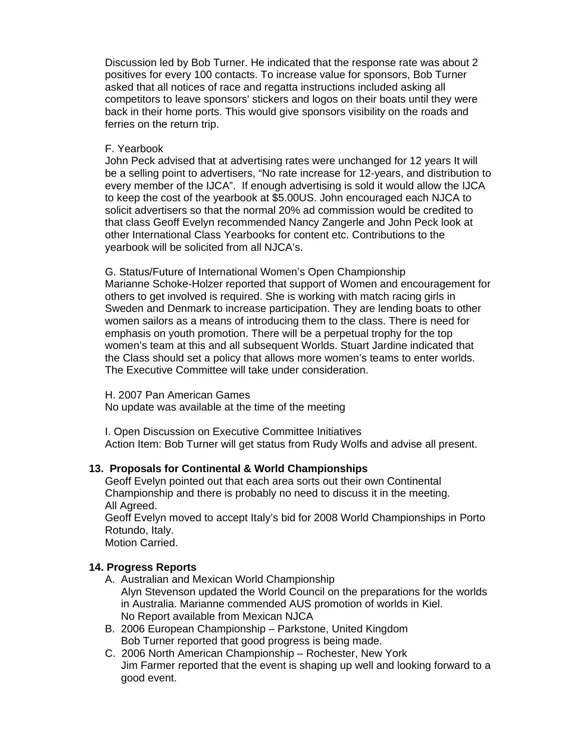Discussion led by Bob Turner. He indicated that the response rate was about 2 positives for every 100 contacts. To increase value for sponsors, Bob Turner asked that all notices of race and regatta instructions included asking all competitors to leave sponsors' stickers and logos on their boats until they were back in their home ports. This would give sponsors visibility on the roads and ferries on the return trip.

### F. Yearbook

John Peck advised that at advertising rates were unchanged for 12 years It will be a selling point to advertisers, "No rate increase for 12-years, and distribution to every member of the IJCA". If enough advertising is sold it would allow the IJCA to keep the cost of the yearbook at \$5.00US. John encouraged each NJCA to solicit advertisers so that the normal 20% ad commission would be credited to that class Geoff Evelyn recommended Nancy Zangerle and John Peck look at other International Class Yearbooks for content etc. Contributions to the yearbook will be solicited from all NJCA's.

G. Status/Future of International Women's Open Championship Marianne Schoke-Holzer reported that support of Women and encouragement for others to get involved is required. She is working with match racing girls in Sweden and Denmark to increase participation. They are lending boats to other women sailors as a means of introducing them to the class. There is need for emphasis on youth promotion. There will be a perpetual trophy for the top women's team at this and all subsequent Worlds. Stuart Jardine indicated that the Class should set a policy that allows more women's teams to enter worlds. The Executive Committee will take under consideration.

#### H. 2007 Pan American Games

No update was available at the time of the meeting

I. Open Discussion on Executive Committee Initiatives Action Item: Bob Turner will get status from Rudy Wolfs and advise all present.

### **13. Proposals for Continental & World Championships**

Geoff Evelyn pointed out that each area sorts out their own Continental Championship and there is probably no need to discuss it in the meeting. All Agreed.

Geoff Evelyn moved to accept Italy's bid for 2008 World Championships in Porto Rotundo, Italy.

Motion Carried.

# **14. Progress Reports**

- A. Australian and Mexican World Championship Alyn Stevenson updated the World Council on the preparations for the worlds in Australia. Marianne commended AUS promotion of worlds in Kiel. No Report available from Mexican NJCA
- B. 2006 European Championship Parkstone, United Kingdom Bob Turner reported that good progress is being made.
- C. 2006 North American Championship Rochester, New York Jim Farmer reported that the event is shaping up well and looking forward to a good event.